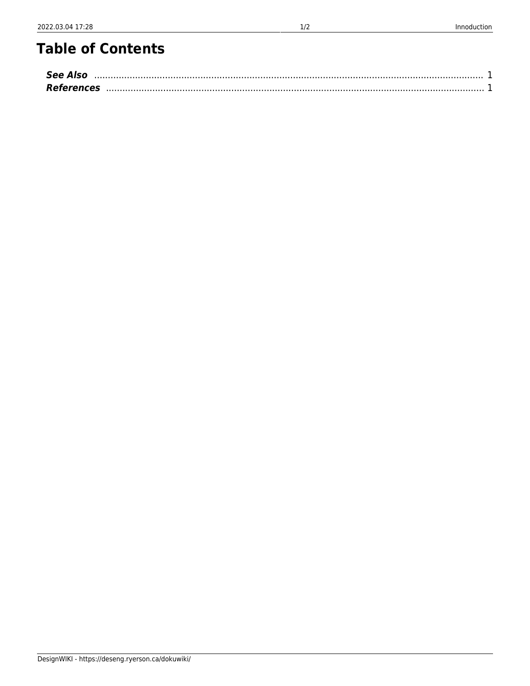# **Table of Contents**

| <b>See Also</b>   |  |
|-------------------|--|
| <b>References</b> |  |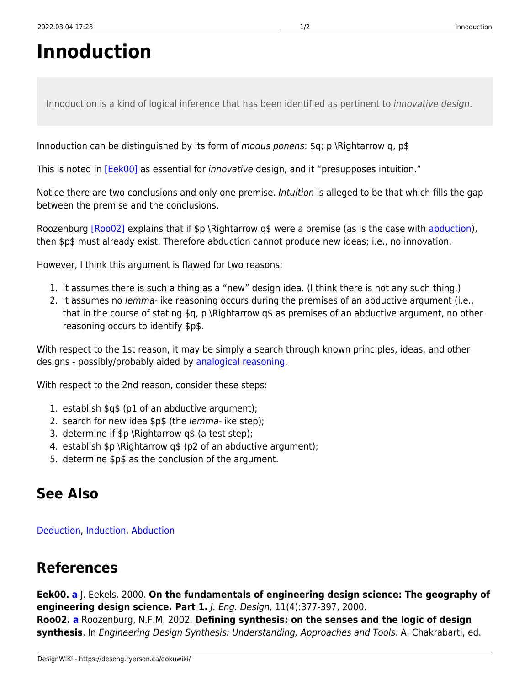# **Innoduction**

Innoduction is a kind of logical inference that has been identified as pertinent to innovative design.

Innoduction can be distinguished by its form of *modus ponens*:  $\mathfrak{g}$ ; p \Rightarrow q, p\$

<span id="page-2-4"></span>This is noted in [\[Eek00\]](#page-2-2) as essential for *innovative* design, and it "presupposes intuition."

Notice there are two conclusions and only one premise. *Intuition* is alleged to be that which fills the gap between the premise and the conclusions.

<span id="page-2-5"></span>Roozenburg [\[Roo02\]](#page-2-3) explains that if \$p \Rightarrow q\$ were a premise (as is the case with [abduction\)](https://deseng.ryerson.ca/dokuwiki/design:abduction), then \$p\$ must already exist. Therefore abduction cannot produce new ideas; i.e., no innovation.

However, I think this argument is flawed for two reasons:

- 1. It assumes there is such a thing as a "new" design idea. (I think there is not any such thing.)
- 2. It assumes no lemma-like reasoning occurs during the premises of an abductive argument (i.e., that in the course of stating  $q$ , p \Rightarrow  $q\$  as premises of an abductive argument, no other reasoning occurs to identify \$p\$.

With respect to the 1st reason, it may be simply a search through known principles, ideas, and other designs - possibly/probably aided by [analogical reasoning](https://deseng.ryerson.ca/dokuwiki/research:analogical_reasoning).

With respect to the 2nd reason, consider these steps:

- 1. establish \$q\$ (p1 of an abductive argument);
- 2. search for new idea \$p\$ (the lemma-like step);
- 3. determine if \$p \Rightarrow q\$ (a test step);
- 4. establish \$p \Rightarrow q\$ (p2 of an abductive argument);
- 5. determine \$p\$ as the conclusion of the argument.

### <span id="page-2-0"></span>**See Also**

[Deduction](https://deseng.ryerson.ca/dokuwiki/design:deduction), [Induction,](https://deseng.ryerson.ca/dokuwiki/design:induction) [Abduction](https://deseng.ryerson.ca/dokuwiki/design:abduction)

## <span id="page-2-1"></span>**References**

<span id="page-2-3"></span><span id="page-2-2"></span>**Eek00. [a](#page-2-4)** J. Eekels. 2000. **On the fundamentals of engineering design science: The geography of engineering design science. Part 1.** J. Eng. Design, 11(4):377-397, 2000. **Roo02. [a](#page-2-5)** Roozenburg, N.F.M. 2002. **Defining synthesis: on the senses and the logic of design synthesis**. In Engineering Design Synthesis: Understanding, Approaches and Tools. A. Chakrabarti, ed.